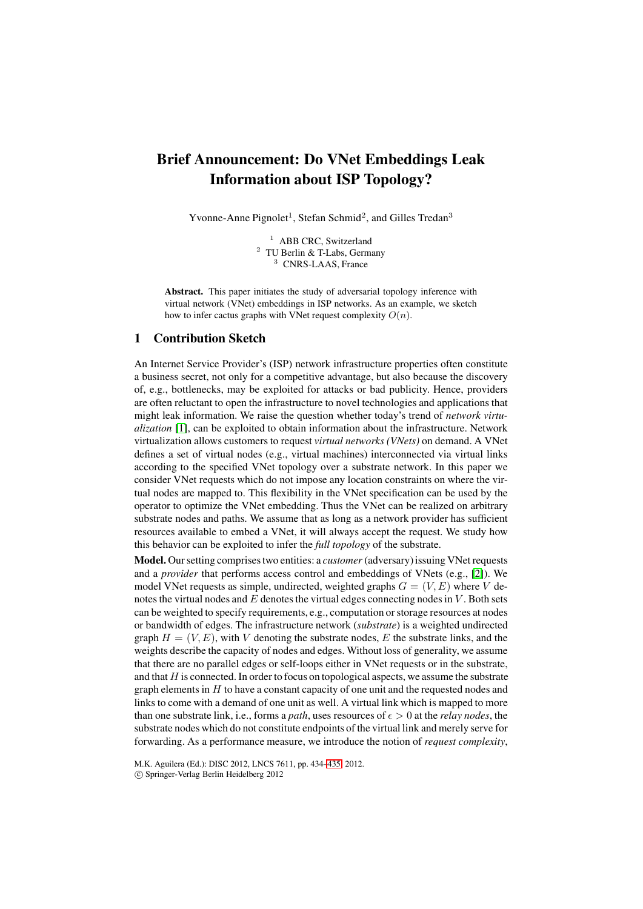## **Brief Announcement: Do VNet Embeddings Leak Information about ISP Topology?**

Yvonne-Anne Pignolet<sup>1</sup>, Stefan Schmid<sup>2</sup>, and Gilles Tredan<sup>3</sup>

<sup>1</sup> ABB CRC, Switzerland <sup>2</sup> TU Berlin & T-Labs, Germany <sup>3</sup> CNRS-LAAS, France

**Abstract.** This paper initiates the study of adversarial topology inference with virtual network (VNet) embeddings in ISP networks. As an example, we sketch how to infer cactus graphs with VNet request complexity *O*(*n*).

## **1 Contribution Sketch**

An Internet Service Provider's (ISP) network infrastructure properties often constitute a business secret, not only for a competitive advantage, but also because the discovery of, e.g., bottlenecks, may be exploited for attacks or bad publicity. Hence, providers are often reluctant to open the infrastructure to novel technologies and applications that might leak information. We raise the question whether today's trend of *network virtualization* [\[1\]](#page-1-0), can be exploited to obtain information about the infrastructure. Network virtualization allows customers to request *virtual networks (VNets)* on demand. A VNet defines a set of virtual nodes (e.g., virtual machines) interconnected via virtual links according to the specified VNet topology over a substrate network. In this paper we consider VNet requests which do not impose any location constraints on where the virtual nodes are mapped to. This flexibility in the VNet specification can be used by the operator to optimize the VNet embedding. Thus the VNet can be realized on arbitrary substrate nodes and paths. We assume that as long as a network provider has sufficient resources available to embed a VNet, it will always accept the request. We study how this behavior can be exploited to infer the *full topology* of the substrate.

**Model.** Our setting comprises two entities: a *customer*(adversary) issuing VNet requests and a *provider* that performs access control and embeddings of VNets (e.g., [\[2\]](#page-1-1)). We model VNet requests as simple, undirected, weighted graphs  $G = (V, E)$  where V denotes the virtual nodes and  $E$  denotes the virtual edges connecting nodes in  $V$ . Both sets can be weighted to specify requirements, e.g., computation or storage resources at nodes or bandwidth of edges. The infrastructure network (*substrate*) is a weighted undirected graph  $H = (V, E)$ , with V denoting the substrate nodes, E the substrate links, and the weights describe the capacity of nodes and edges. Without loss of generality, we assume that there are no parallel edges or self-loops either in VNet requests or in the substrate, and that  $H$  is connected. In order to focus on topological aspects, we assume the substrate graph elements in  $H$  to have a constant capacity of one unit and the requested nodes and links to come with a demand of one unit as well. A virtual link which is mapped to more than one substrate link, i.e., forms a *path*, uses resources of  $\epsilon > 0$  at the *relay nodes*, the substrate nodes which do not constitute endpoints of the virtual link and merely serve for forwarding. As a performance measure, we introduce the notion of *request complexity*,

M.K. Aguilera (Ed.): DISC 2012, LNCS 7611, pp. 434[–435,](#page-1-2) 2012.

<sup>-</sup>c Springer-Verlag Berlin Heidelberg 2012